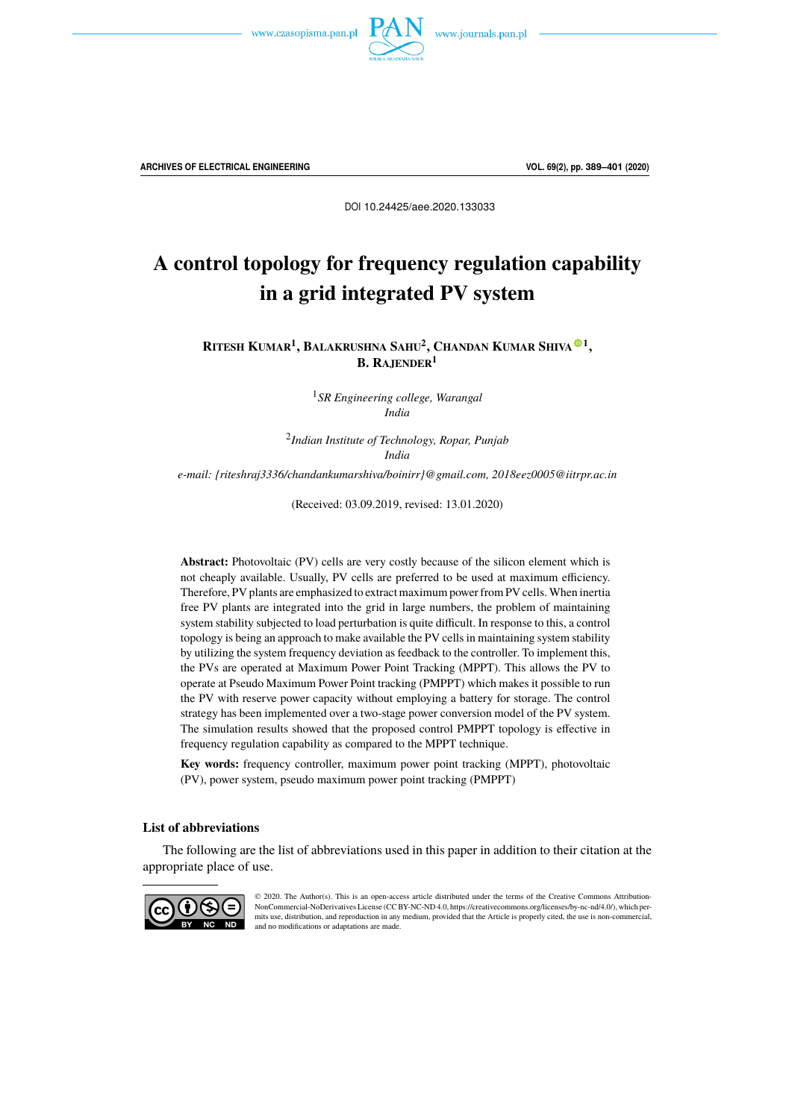



**ARCHIVES OF ELECTRICAL ENGINEERING VOL. 69(2), pp. 389[–401](#page-10-0) (2020)**

DOI 10.24425/aee.2020.133033

# A control topology for frequency regulation capability in a grid integrated PV system

**RITESH KUMAR<sup>1</sup> , BALAKRUSHNA SAHU<sup>2</sup> , CHANDAN KUMAR SHIVA**[o](https://orcid.org/0000-0003-4896-8216) **1 , B. RAJENDER<sup>1</sup>**

> <sup>1</sup>*SR Engineering college, Warangal India*

2 *Indian Institute of Technology, Ropar, Punjab India*

*e-mail: {riteshraj3336/chandankumarshiva/boinirr}@gmail.com, 2018eez0005@iitrpr.ac.in*

(Received: 03.09.2019, revised: 13.01.2020)

**Abstract:** Photovoltaic (PV) cells are very costly because of the silicon element which is not cheaply available. Usually, PV cells are preferred to be used at maximum efficiency. Therefore, PV plants are emphasized to extract maximum power from PV cells. When inertia free PV plants are integrated into the grid in large numbers, the problem of maintaining system stability subjected to load perturbation is quite difficult. In response to this, a control topology is being an approach to make available the PV cells in maintaining system stability by utilizing the system frequency deviation as feedback to the controller. To implement this, the PVs are operated at Maximum Power Point Tracking (MPPT). This allows the PV to operate at Pseudo Maximum Power Point tracking (PMPPT) which makes it possible to run the PV with reserve power capacity without employing a battery for storage. The control strategy has been implemented over a two-stage power conversion model of the PV system. The simulation results showed that the proposed control PMPPT topology is effective in frequency regulation capability as compared to the MPPT technique.

**Key words:** frequency controller, maximum power point tracking (MPPT), photovoltaic (PV), power system, pseudo maximum power point tracking (PMPPT)

#### **List of abbreviations**

The following are the list of abbreviations used in this paper in addition to their citation at the appropriate place of use.



© 2020. The Author(s). This is an open-access article distributed under the terms of the Creative Commons Attribution-NonCommercial-NoDerivatives License (CC BY-NC-ND 4.0, https://creativecommons.org/licenses/by-nc-nd/4.0/), which permits use, distribution, and reproduction in any medium, provided that the Article is properly cited, the use is non-commercial, and no modifications or adaptations are made.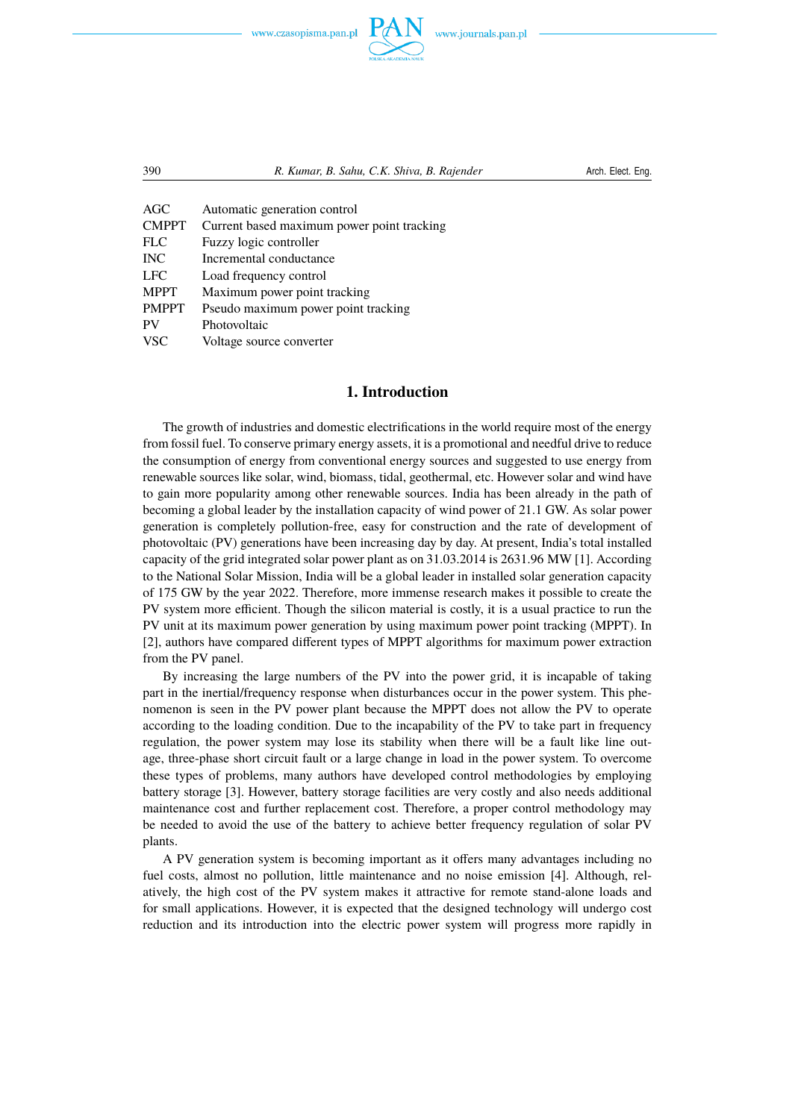www.czasopisma.pan.pl



390 *R. Kumar, B. Sahu, C.K. Shiva, B. Rajender* Arch. Elect. Eng.

| <b>AGC</b>   | Automatic generation control               |
|--------------|--------------------------------------------|
| <b>CMPPT</b> | Current based maximum power point tracking |
| <b>FLC</b>   | Fuzzy logic controller                     |
| <b>INC</b>   | Incremental conductance                    |
| <b>LFC</b>   | Load frequency control                     |
| <b>MPPT</b>  | Maximum power point tracking               |
| <b>PMPPT</b> | Pseudo maximum power point tracking        |
| PV           | Photovoltaic                               |
| <b>VSC</b>   | Voltage source converter                   |

## **1. Introduction**

The growth of industries and domestic electrifications in the world require most of the energy from fossil fuel. To conserve primary energy assets, it is a promotional and needful drive to reduce the consumption of energy from conventional energy sources and suggested to use energy from renewable sources like solar, wind, biomass, tidal, geothermal, etc. However solar and wind have to gain more popularity among other renewable sources. India has been already in the path of becoming a global leader by the installation capacity of wind power of 21.1 GW. As solar power generation is completely pollution-free, easy for construction and the rate of development of photovoltaic (PV) generations have been increasing day by day. At present, India's total installed capacity of the grid integrated solar power plant as on 31.03.2014 is 2631.96 MW [1]. According to the National Solar Mission, India will be a global leader in installed solar generation capacity of 175 GW by the year 2022. Therefore, more immense research makes it possible to create the PV system more efficient. Though the silicon material is costly, it is a usual practice to run the PV unit at its maximum power generation by using maximum power point tracking (MPPT). In [2], authors have compared different types of MPPT algorithms for maximum power extraction from the PV panel.

By increasing the large numbers of the PV into the power grid, it is incapable of taking part in the inertial/frequency response when disturbances occur in the power system. This phenomenon is seen in the PV power plant because the MPPT does not allow the PV to operate according to the loading condition. Due to the incapability of the PV to take part in frequency regulation, the power system may lose its stability when there will be a fault like line outage, three-phase short circuit fault or a large change in load in the power system. To overcome these types of problems, many authors have developed control methodologies by employing battery storage [3]. However, battery storage facilities are very costly and also needs additional maintenance cost and further replacement cost. Therefore, a proper control methodology may be needed to avoid the use of the battery to achieve better frequency regulation of solar PV plants.

A PV generation system is becoming important as it offers many advantages including no fuel costs, almost no pollution, little maintenance and no noise emission [4]. Although, relatively, the high cost of the PV system makes it attractive for remote stand-alone loads and for small applications. However, it is expected that the designed technology will undergo cost reduction and its introduction into the electric power system will progress more rapidly in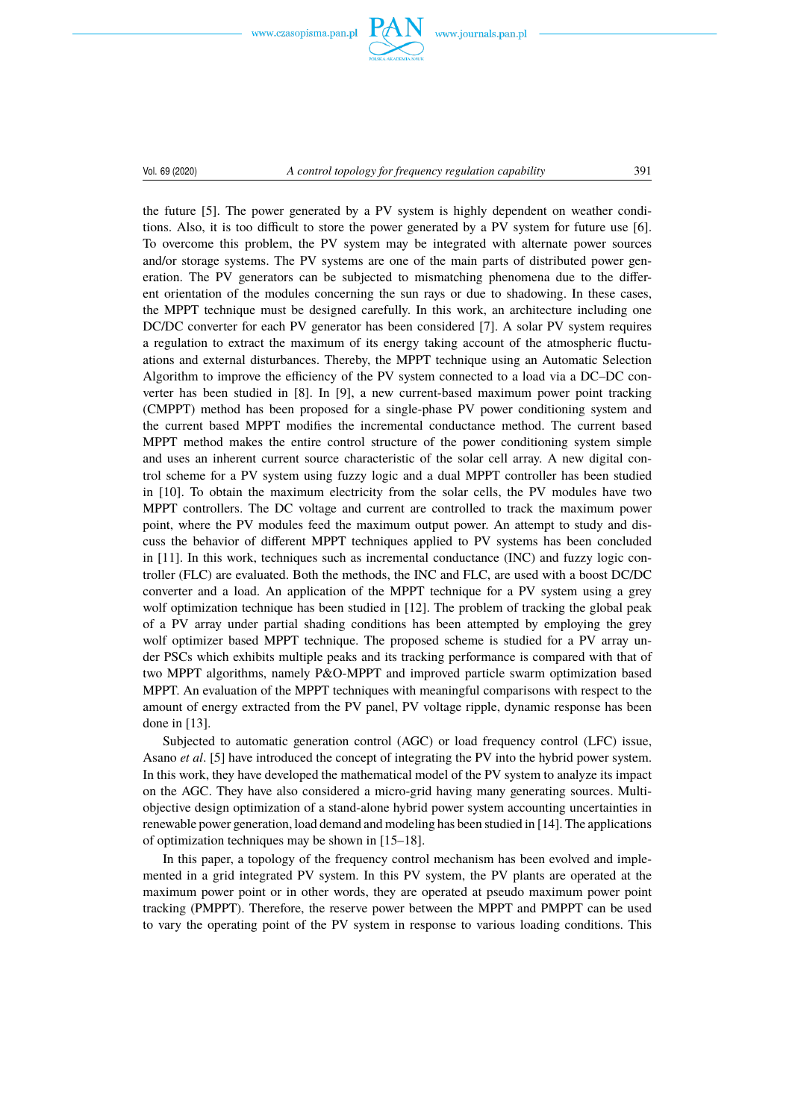www.czasopisma.pan.pl



#### Vol. 69 (2020) *A control topology for frequency regulation capability* 391

the future [5]. The power generated by a PV system is highly dependent on weather conditions. Also, it is too difficult to store the power generated by a PV system for future use [6]. To overcome this problem, the PV system may be integrated with alternate power sources and/or storage systems. The PV systems are one of the main parts of distributed power generation. The PV generators can be subjected to mismatching phenomena due to the different orientation of the modules concerning the sun rays or due to shadowing. In these cases, the MPPT technique must be designed carefully. In this work, an architecture including one DC/DC converter for each PV generator has been considered [7]. A solar PV system requires a regulation to extract the maximum of its energy taking account of the atmospheric fluctuations and external disturbances. Thereby, the MPPT technique using an Automatic Selection Algorithm to improve the efficiency of the PV system connected to a load via a DC–DC converter has been studied in [8]. In [9], a new current-based maximum power point tracking (CMPPT) method has been proposed for a single-phase PV power conditioning system and the current based MPPT modifies the incremental conductance method. The current based MPPT method makes the entire control structure of the power conditioning system simple and uses an inherent current source characteristic of the solar cell array. A new digital control scheme for a PV system using fuzzy logic and a dual MPPT controller has been studied in [10]. To obtain the maximum electricity from the solar cells, the PV modules have two MPPT controllers. The DC voltage and current are controlled to track the maximum power point, where the PV modules feed the maximum output power. An attempt to study and discuss the behavior of different MPPT techniques applied to PV systems has been concluded in [11]. In this work, techniques such as incremental conductance (INC) and fuzzy logic controller (FLC) are evaluated. Both the methods, the INC and FLC, are used with a boost DC/DC converter and a load. An application of the MPPT technique for a PV system using a grey wolf optimization technique has been studied in [12]. The problem of tracking the global peak of a PV array under partial shading conditions has been attempted by employing the grey wolf optimizer based MPPT technique. The proposed scheme is studied for a PV array under PSCs which exhibits multiple peaks and its tracking performance is compared with that of two MPPT algorithms, namely P&O-MPPT and improved particle swarm optimization based MPPT. An evaluation of the MPPT techniques with meaningful comparisons with respect to the amount of energy extracted from the PV panel, PV voltage ripple, dynamic response has been done in [13].

Subjected to automatic generation control (AGC) or load frequency control (LFC) issue, Asano *et al*. [5] have introduced the concept of integrating the PV into the hybrid power system. In this work, they have developed the mathematical model of the PV system to analyze its impact on the AGC. They have also considered a micro-grid having many generating sources. Multiobjective design optimization of a stand-alone hybrid power system accounting uncertainties in renewable power generation, load demand and modeling has been studied in [14]. The applications of optimization techniques may be shown in [15–18].

In this paper, a topology of the frequency control mechanism has been evolved and implemented in a grid integrated PV system. In this PV system, the PV plants are operated at the maximum power point or in other words, they are operated at pseudo maximum power point tracking (PMPPT). Therefore, the reserve power between the MPPT and PMPPT can be used to vary the operating point of the PV system in response to various loading conditions. This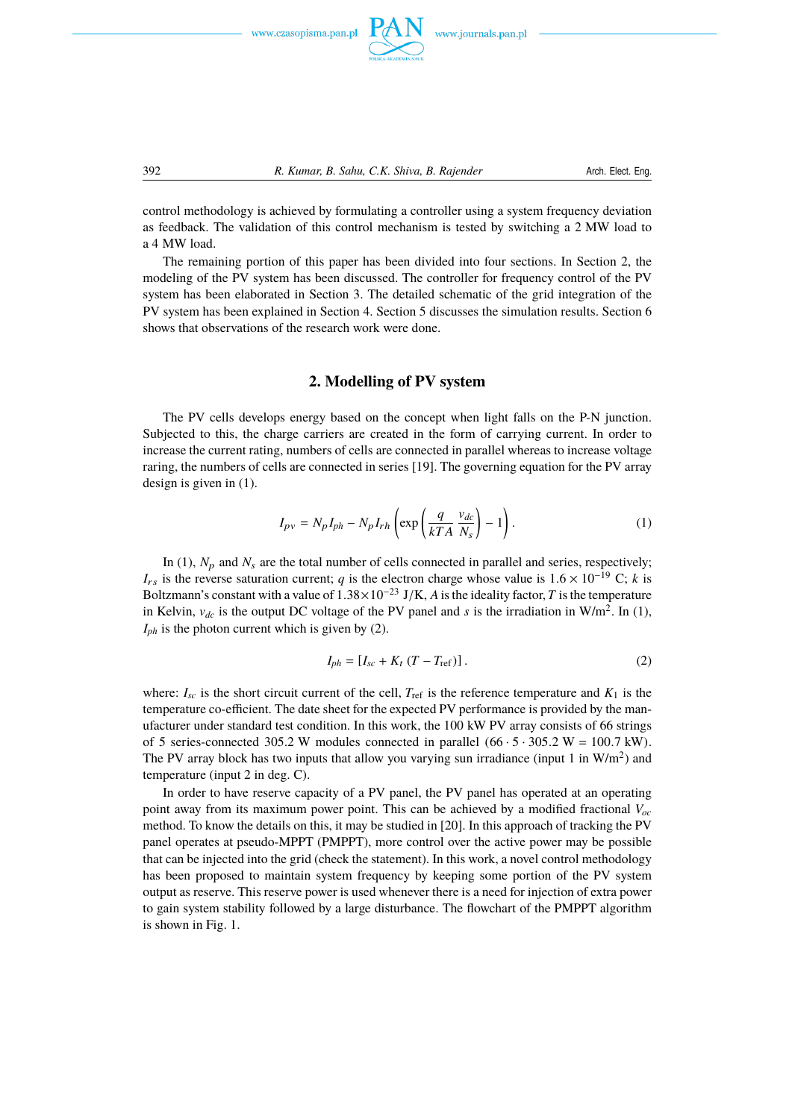

control methodology is achieved by formulating a controller using a system frequency deviation as feedback. The validation of this control mechanism is tested by switching a 2 MW load to a 4 MW load.

The remaining portion of this paper has been divided into four sections. In Section 2, the modeling of the PV system has been discussed. The controller for frequency control of the PV system has been elaborated in Section 3. The detailed schematic of the grid integration of the PV system has been explained in Section 4. Section 5 discusses the simulation results. Section 6 shows that observations of the research work were done.

### **2. Modelling of PV system**

The PV cells develops energy based on the concept when light falls on the P-N junction. Subjected to this, the charge carriers are created in the form of carrying current. In order to increase the current rating, numbers of cells are connected in parallel whereas to increase voltage raring, the numbers of cells are connected in series [19]. The governing equation for the PV array design is given in ([1\)](#page-3-0).

<span id="page-3-0"></span>
$$
I_{pv} = N_p I_{ph} - N_p I_{rh} \left( \exp\left(\frac{q}{kTA} \frac{v_{dc}}{N_s}\right) - 1\right). \tag{1}
$$

In ([1\)](#page-3-0),  $N_p$  and  $N_s$  are the total number of cells connected in parallel and series, respectively;  $I_{rs}$  is the reverse saturation current; *q* is the electron charge whose value is  $1.6 \times 10^{-19}$  C; *k* is Boltzmann's constant with a value of <sup>1</sup>.38×10−<sup>23</sup> <sup>J</sup>/K, *<sup>A</sup>* is the ideality factor, *<sup>T</sup>* is the temperature in Kelvin,  $v_{dc}$  is the output DC voltage of the PV panel and *s* is the irradiation in W/m<sup>2</sup>. In [\(1](#page-3-0)),  $I_{ph}$  is the photon current which is given by ([2\)](#page-3-1).

<span id="page-3-1"></span>
$$
I_{ph} = [I_{sc} + K_t (T - T_{ref})].
$$
 (2)

where:  $I_{sc}$  is the short circuit current of the cell,  $T_{ref}$  is the reference temperature and  $K_1$  is the temperature co-efficient. The date sheet for the expected PV performance is provided by the manufacturer under standard test condition. In this work, the 100 kW PV array consists of 66 strings of 5 series-connected 305.2 W modules connected in parallel  $(66 \cdot 5 \cdot 305.2 \text{ W} = 100.7 \text{ kW})$ . The PV array block has two inputs that allow you varying sun irradiance (input 1 in  $W/m^2$ ) and temperature (input 2 in deg. C).

In order to have reserve capacity of a PV panel, the PV panel has operated at an operating point away from its maximum power point. This can be achieved by a modified fractional *Voc* method. To know the details on this, it may be studied in [20]. In this approach of tracking the PV panel operates at pseudo-MPPT (PMPPT), more control over the active power may be possible that can be injected into the grid (check the statement). In this work, a novel control methodology has been proposed to maintain system frequency by keeping some portion of the PV system output as reserve. This reserve power is used whenever there is a need for injection of extra power to gain system stability followed by a large disturbance. The flowchart of the PMPPT algorithm is shown in Fig. 1.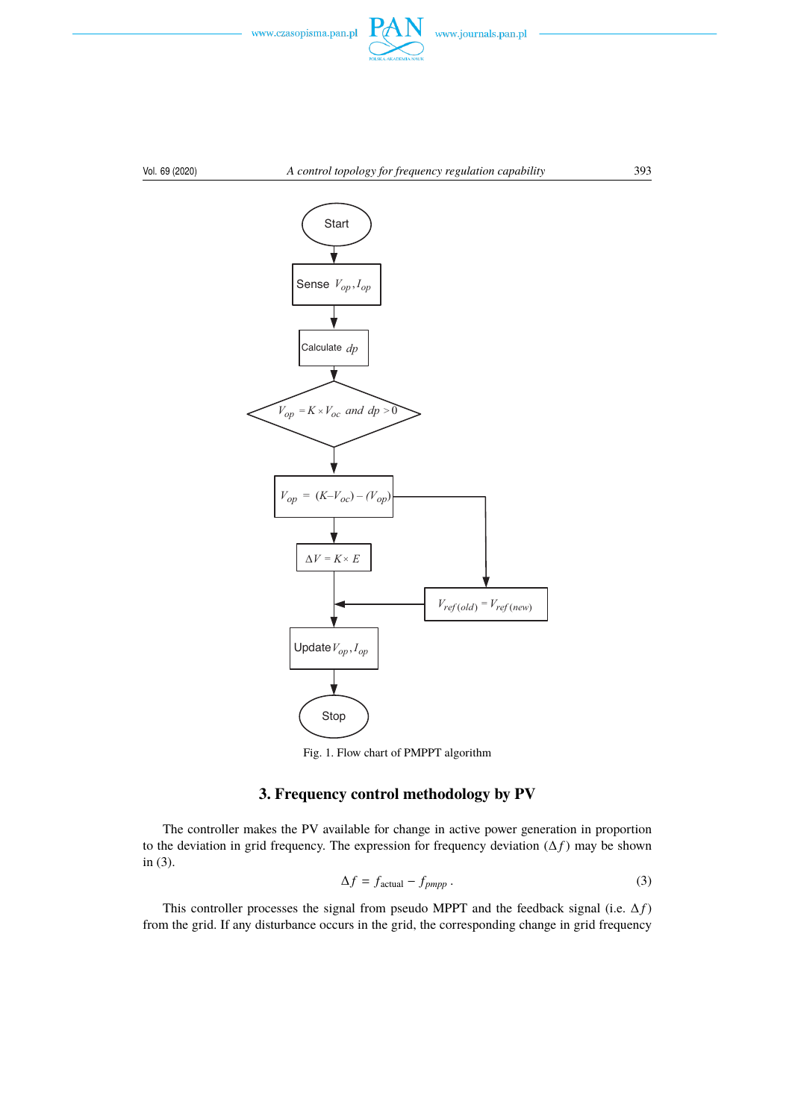

#### Vol. 69 (2020) *A control topology for frequency regulation capability* 393



Fig. 1. Flow chart of PMPPT algorithm

# **3. Frequency control methodology by PV**

The controller makes the PV available for change in active power generation in proportion to the deviation in grid frequency. The expression for frequency deviation  $(\Delta f)$  may be shown in ([3\)](#page-4-0).

<span id="page-4-0"></span>
$$
\Delta f = f_{\text{actual}} - f_{pmpp} \,. \tag{3}
$$

This controller processes the signal from pseudo MPPT and the feedback signal (i.e.  $\Delta f$ ) from the grid. If any disturbance occurs in the grid, the corresponding change in grid frequency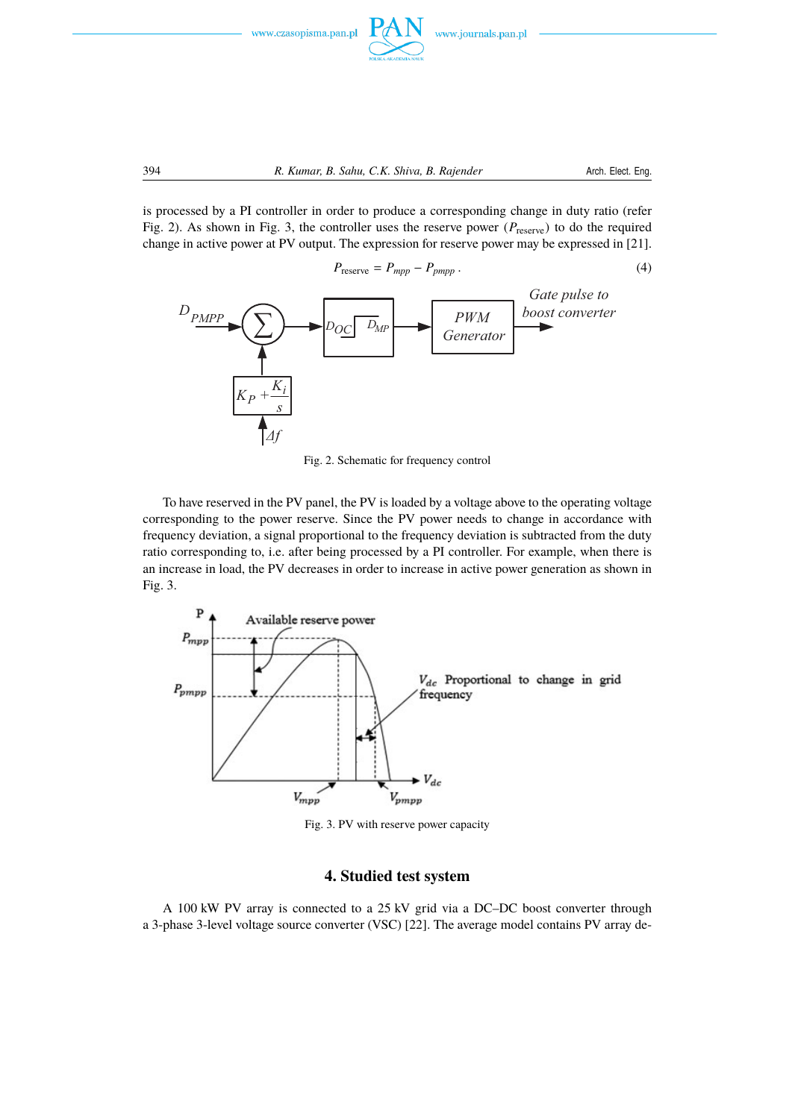

is processed by a PI controller in order to produce a corresponding change in duty ratio (refer Fig. 2). As shown in Fig. 3, the controller uses the reserve power ( $P_{\text{reserve}}$ ) to do the required change in active power at PV output. The expression for reserve power may be expressed in [21].



Fig. 2. Schematic for frequency control

To have reserved in the PV panel, the PV is loaded by a voltage above to the operating voltage corresponding to the power reserve. Since the PV power needs to change in accordance with frequency deviation, a signal proportional to the frequency deviation is subtracted from the duty ratio corresponding to, i.e. after being processed by a PI controller. For example, when there is an increase in load, the PV decreases in order to increase in active power generation as shown in Fig. 3.



Fig. 3. PV with reserve power capacity

## **4. Studied test system**

A 100 kW PV array is connected to a 25 kV grid via a DC–DC boost converter through a 3-phase 3-level voltage source converter (VSC) [22]. The average model contains PV array de-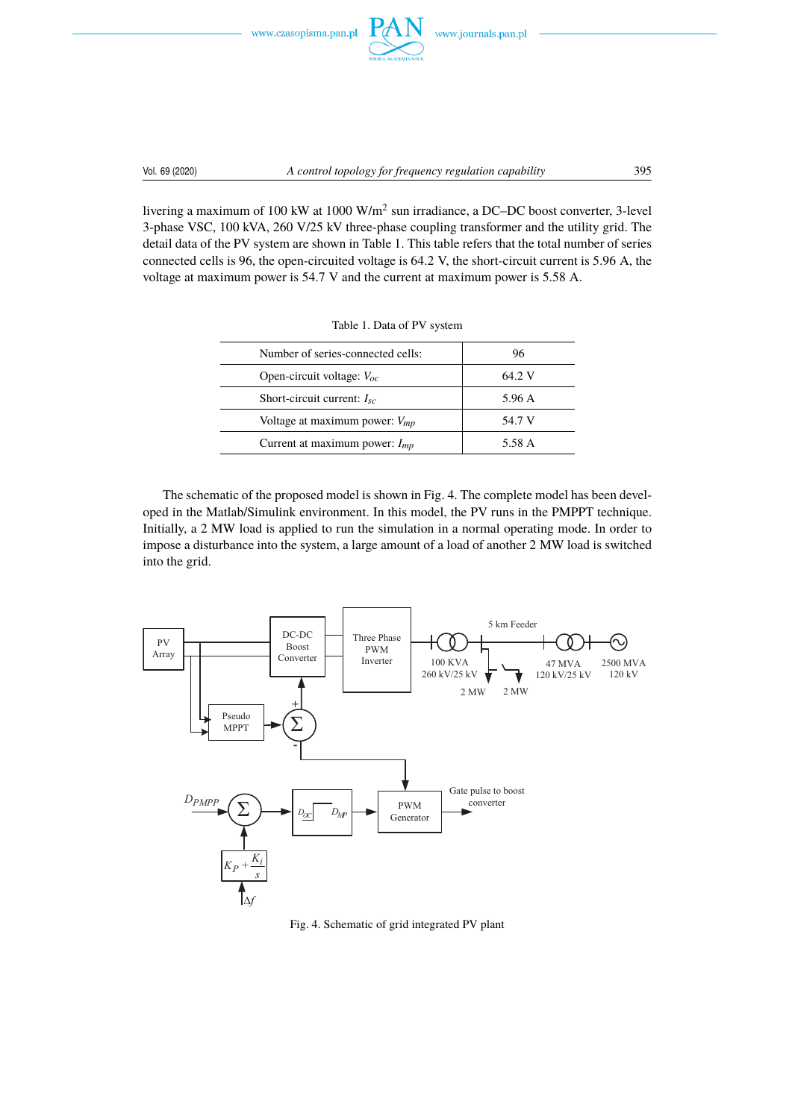



livering a maximum of 100 kW at 1000 W/m<sup>2</sup> sun irradiance, a DC–DC boost converter, 3-level 3-phase VSC, 100 kVA, 260 V/25 kV three-phase coupling transformer and the utility grid. The detail data of the PV system are shown in Table 1. This table refers that the total number of series connected cells is 96, the open-circuited voltage is 64.2 V, the short-circuit current is 5.96 A, the voltage at maximum power is 54.7 V and the current at maximum power is 5.58 A.

| Number of series-connected cells:  | 96     |
|------------------------------------|--------|
| Open-circuit voltage: $V_{oc}$     | 64.2 V |
| Short-circuit current: $I_{sc}$    | 5.96 A |
| Voltage at maximum power: $V_{mp}$ | 54.7 V |
| Current at maximum power: $I_{mp}$ | 5.58 A |

Table 1. Data of PV system

The schematic of the proposed model is shown in Fig. 4. The complete model has been developed in the Matlab/Simulink environment. In this model, the PV runs in the PMPPT technique. Initially, a 2 MW load is applied to run the simulation in a normal operating mode. In order to impose a disturbance into the system, a large amount of a load of another 2 MW load is switched into the grid.



Fig. 4. Schematic of grid integrated PV plant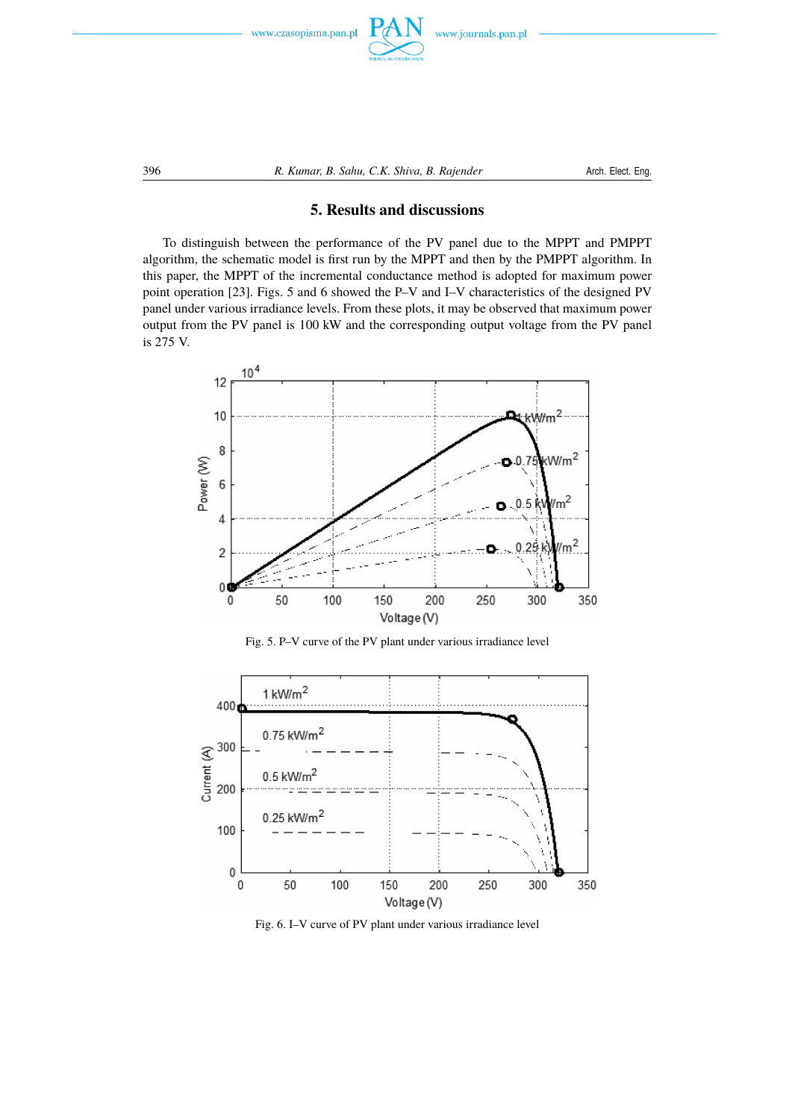



## **5. Results and discussions**

To distinguish between the performance of the PV panel due to the MPPT and PMPPT algorithm, the schematic model is first run by the MPPT and then by the PMPPT algorithm. In this paper, the MPPT of the incremental conductance method is adopted for maximum power point operation [23]. Figs. 5 and 6 showed the P–V and I–V characteristics of the designed PV panel under various irradiance levels. From these plots, it may be observed that maximum power output from the PV panel is 100 kW and the corresponding output voltage from the PV panel is 275 V.







Fig. 6. I–V curve of PV plant under various irradiance level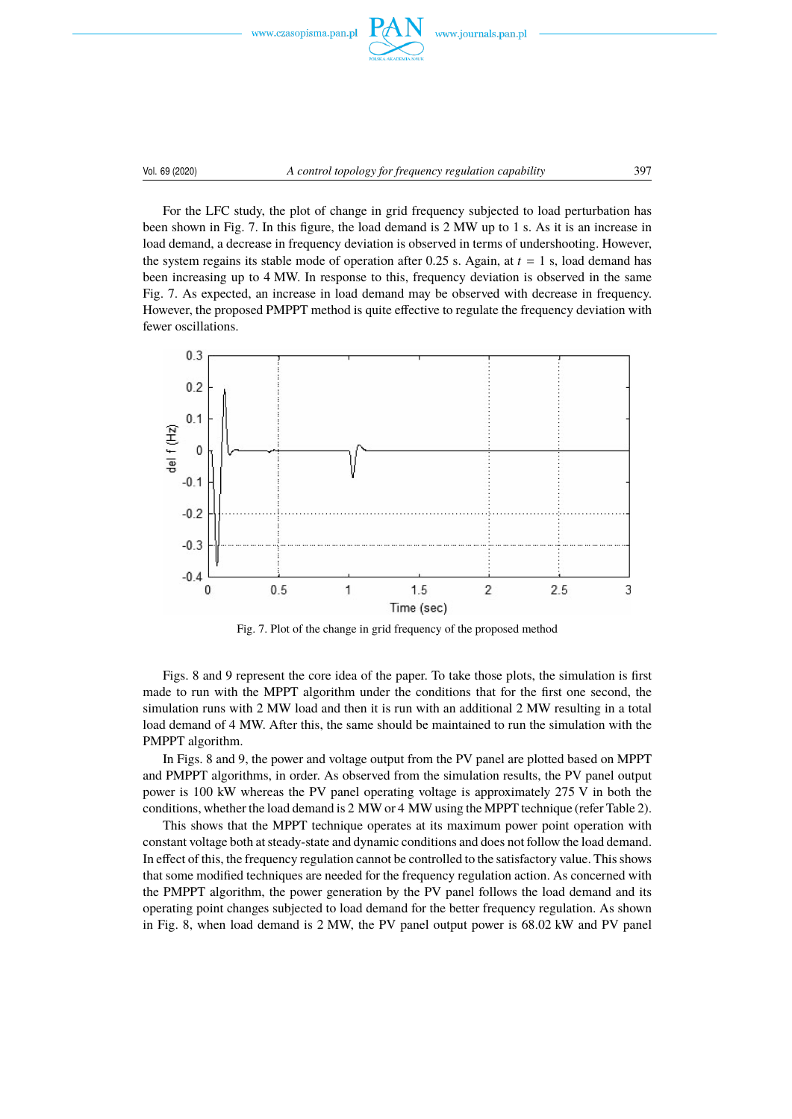



For the LFC study, the plot of change in grid frequency subjected to load perturbation has been shown in Fig. 7. In this figure, the load demand is 2 MW up to 1 s. As it is an increase in load demand, a decrease in frequency deviation is observed in terms of undershooting. However, the system regains its stable mode of operation after 0.25 s. Again, at  $t = 1$  s, load demand has been increasing up to 4 MW. In response to this, frequency deviation is observed in the same Fig. 7. As expected, an increase in load demand may be observed with decrease in frequency. However, the proposed PMPPT method is quite effective to regulate the frequency deviation with fewer oscillations.



Fig. 7. Plot of the change in grid frequency of the proposed method

Figs. 8 and 9 represent the core idea of the paper. To take those plots, the simulation is first made to run with the MPPT algorithm under the conditions that for the first one second, the simulation runs with 2 MW load and then it is run with an additional 2 MW resulting in a total load demand of 4 MW. After this, the same should be maintained to run the simulation with the PMPPT algorithm.

In Figs. 8 and 9, the power and voltage output from the PV panel are plotted based on MPPT and PMPPT algorithms, in order. As observed from the simulation results, the PV panel output power is 100 kW whereas the PV panel operating voltage is approximately 275 V in both the conditions, whether the load demand is 2 MW or 4 MW using the MPPT technique (refer Table 2).

This shows that the MPPT technique operates at its maximum power point operation with constant voltage both at steady-state and dynamic conditions and does not follow the load demand. In effect of this, the frequency regulation cannot be controlled to the satisfactory value. This shows that some modified techniques are needed for the frequency regulation action. As concerned with the PMPPT algorithm, the power generation by the PV panel follows the load demand and its operating point changes subjected to load demand for the better frequency regulation. As shown in Fig. 8, when load demand is 2 MW, the PV panel output power is 68.02 kW and PV panel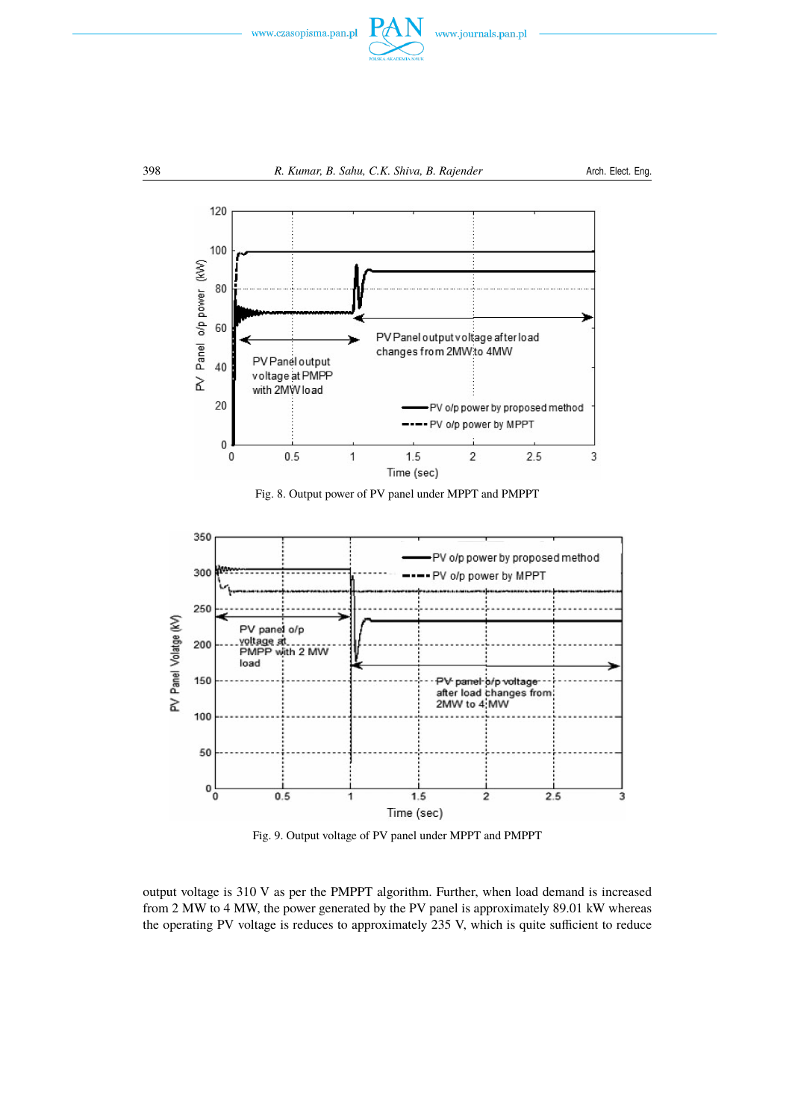



Fig. 8. Output power of PV panel under MPPT and PMPPT



Fig. 9. Output voltage of PV panel under MPPT and PMPPT

output voltage is 310 V as per the PMPPT algorithm. Further, when load demand is increased from 2 MW to 4 MW, the power generated by the PV panel is approximately 89.01 kW whereas the operating PV voltage is reduces to approximately 235 V, which is quite sufficient to reduce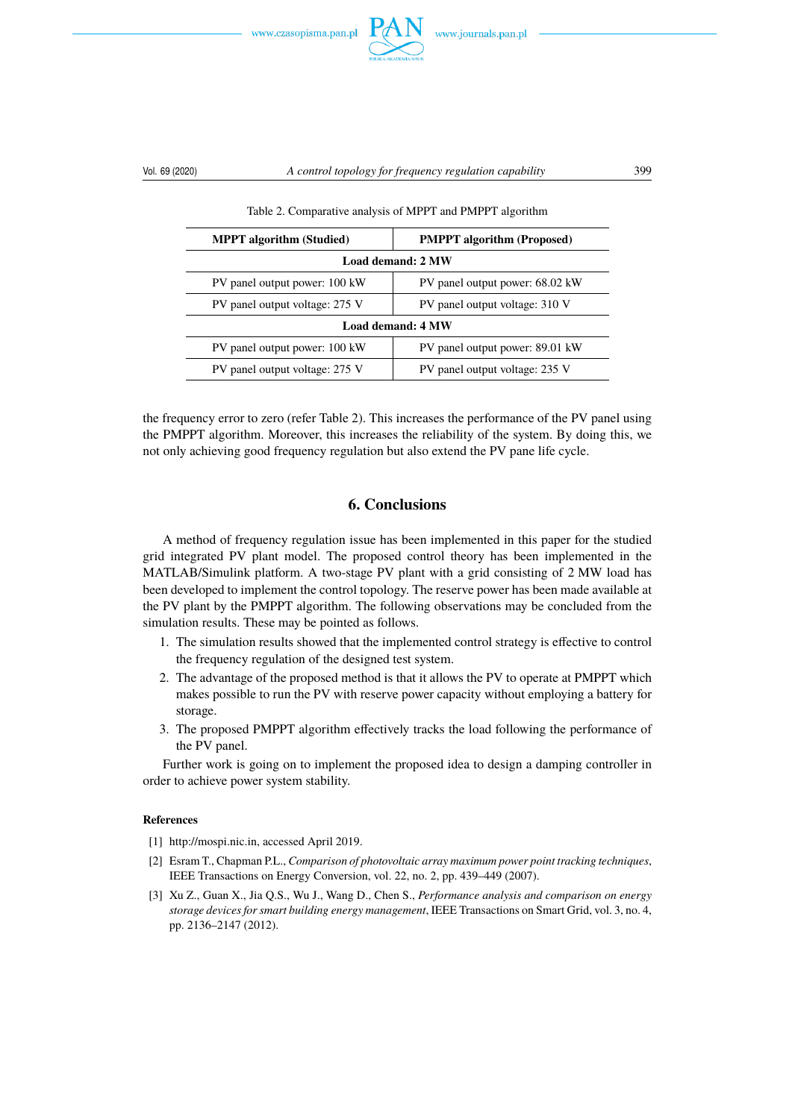



### Vol. 69 (2020) *A control topology for frequency regulation capability* 399

Table 2. Comparative analysis of MPPT and PMPPT algorithm

| <b>MPPT</b> algorithm (Studied) | <b>PMPPT</b> algorithm (Proposed) |  |  |  |
|---------------------------------|-----------------------------------|--|--|--|
| Load demand: 2 MW               |                                   |  |  |  |
| PV panel output power: 100 kW   | PV panel output power: 68.02 kW   |  |  |  |
| PV panel output voltage: 275 V  | PV panel output voltage: 310 V    |  |  |  |
| Load demand: 4 MW               |                                   |  |  |  |
| PV panel output power: 100 kW   | PV panel output power: 89.01 kW   |  |  |  |
| PV panel output voltage: 275 V  | PV panel output voltage: 235 V    |  |  |  |

the frequency error to zero (refer Table 2). This increases the performance of the PV panel using the PMPPT algorithm. Moreover, this increases the reliability of the system. By doing this, we not only achieving good frequency regulation but also extend the PV pane life cycle.

## **6. Conclusions**

A method of frequency regulation issue has been implemented in this paper for the studied grid integrated PV plant model. The proposed control theory has been implemented in the MATLAB/Simulink platform. A two-stage PV plant with a grid consisting of 2 MW load has been developed to implement the control topology. The reserve power has been made available at the PV plant by the PMPPT algorithm. The following observations may be concluded from the simulation results. These may be pointed as follows.

- 1. The simulation results showed that the implemented control strategy is effective to control the frequency regulation of the designed test system.
- 2. The advantage of the proposed method is that it allows the PV to operate at PMPPT which makes possible to run the PV with reserve power capacity without employing a battery for storage.
- 3. The proposed PMPPT algorithm effectively tracks the load following the performance of the PV panel.

Further work is going on to implement the proposed idea to design a damping controller in order to achieve power system stability.

#### <span id="page-10-0"></span>**References**

- [1] http://mospi.nic.in, accessed April 2019.
- [2] Esram T., Chapman P.L., *Comparison of photovoltaic array maximum power point tracking techniques*, IEEE Transactions on Energy Conversion, vol. 22, no. 2, pp. 439–449 (2007).
- [3] Xu Z., Guan X., Jia Q.S., Wu J., Wang D., Chen S., *Performance analysis and comparison on energy storage devices for smart building energy management*, IEEE Transactions on Smart Grid, vol. 3, no. 4, pp. 2136–2147 (2012).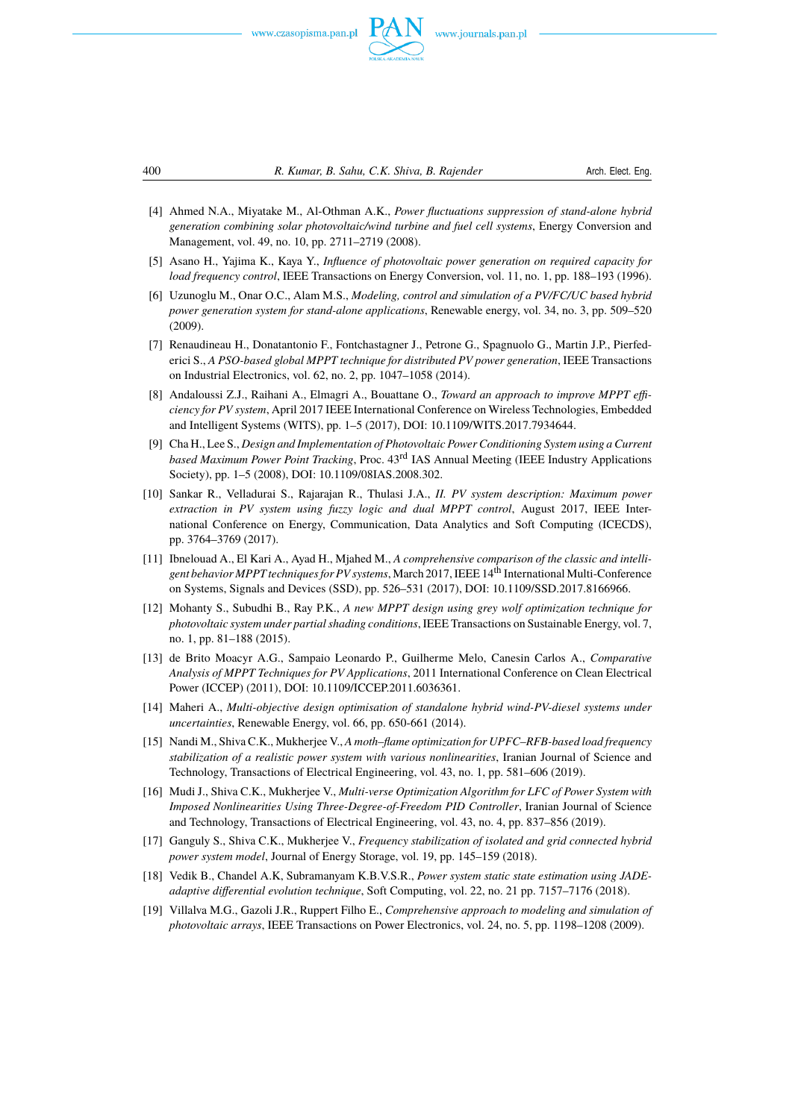





- [4] Ahmed N.A., Miyatake M., Al-Othman A.K., *Power fluctuations suppression of stand-alone hybrid generation combining solar photovoltaic/wind turbine and fuel cell systems*, Energy Conversion and Management, vol. 49, no. 10, pp. 2711–2719 (2008).
- [5] Asano H., Yajima K., Kaya Y., *Influence of photovoltaic power generation on required capacity for load frequency control*, IEEE Transactions on Energy Conversion, vol. 11, no. 1, pp. 188–193 (1996).
- [6] Uzunoglu M., Onar O.C., Alam M.S., *Modeling, control and simulation of a PV/FC/UC based hybrid power generation system for stand-alone applications*, Renewable energy, vol. 34, no. 3, pp. 509–520 (2009).
- [7] Renaudineau H., Donatantonio F., Fontchastagner J., Petrone G., Spagnuolo G., Martin J.P., Pierfederici S., *A PSO-based global MPPT technique for distributed PV power generation*, IEEE Transactions on Industrial Electronics, vol. 62, no. 2, pp. 1047–1058 (2014).
- [8] Andaloussi Z.J., Raihani A., Elmagri A., Bouattane O., *Toward an approach to improve MPPT efficiency for PV system*, April 2017 IEEE International Conference on Wireless Technologies, Embedded and Intelligent Systems (WITS), pp. 1–5 (2017), DOI: 10.1109/WITS.2017.7934644.
- [9] Cha H., Lee S., *Design and Implementation of Photovoltaic Power Conditioning System using a Current based Maximum Power Point Tracking*, Proc. 43rd IAS Annual Meeting (IEEE Industry Applications Society), pp. 1–5 (2008), DOI: 10.1109/08IAS.2008.302.
- [10] Sankar R., Velladurai S., Rajarajan R., Thulasi J.A., *II. PV system description: Maximum power extraction in PV system using fuzzy logic and dual MPPT control*, August 2017, IEEE International Conference on Energy, Communication, Data Analytics and Soft Computing (ICECDS), pp. 3764–3769 (2017).
- [11] Ibnelouad A., El Kari A., Ayad H., Mjahed M., *A comprehensive comparison of the classic and intelligent behavior MPPT techniques for PV systems*, March 2017, IEEE 14th International Multi-Conference on Systems, Signals and Devices (SSD), pp. 526–531 (2017), DOI: 10.1109/SSD.2017.8166966.
- [12] Mohanty S., Subudhi B., Ray P.K., *A new MPPT design using grey wolf optimization technique for photovoltaic system under partial shading conditions*, IEEE Transactions on Sustainable Energy, vol. 7, no. 1, pp. 81–188 (2015).
- [13] de Brito Moacyr A.G., Sampaio Leonardo P., Guilherme Melo, Canesin Carlos A., *Comparative Analysis of MPPT Techniques for PV Applications*, 2011 International Conference on Clean Electrical Power (ICCEP) (2011), DOI: 10.1109/ICCEP.2011.6036361.
- [14] Maheri A., *Multi-objective design optimisation of standalone hybrid wind-PV-diesel systems under uncertainties*, Renewable Energy, vol. 66, pp. 650-661 (2014).
- [15] Nandi M., Shiva C.K., Mukherjee V., *A moth–flame optimization for UPFC–RFB-based load frequency stabilization of a realistic power system with various nonlinearities*, Iranian Journal of Science and Technology, Transactions of Electrical Engineering, vol. 43, no. 1, pp. 581–606 (2019).
- [16] Mudi J., Shiva C.K., Mukherjee V., *Multi-verse Optimization Algorithm for LFC of Power System with Imposed Nonlinearities Using Three-Degree-of-Freedom PID Controller*, Iranian Journal of Science and Technology, Transactions of Electrical Engineering, vol. 43, no. 4, pp. 837–856 (2019).
- [17] Ganguly S., Shiva C.K., Mukherjee V., *Frequency stabilization of isolated and grid connected hybrid power system model*, Journal of Energy Storage, vol. 19, pp. 145–159 (2018).
- [18] Vedik B., Chandel A.K, Subramanyam K.B.V.S.R., *Power system static state estimation using JADEadaptive differential evolution technique*, Soft Computing, vol. 22, no. 21 pp. 7157–7176 (2018).
- [19] Villalva M.G., Gazoli J.R., Ruppert Filho E., *Comprehensive approach to modeling and simulation of photovoltaic arrays*, IEEE Transactions on Power Electronics, vol. 24, no. 5, pp. 1198–1208 (2009).